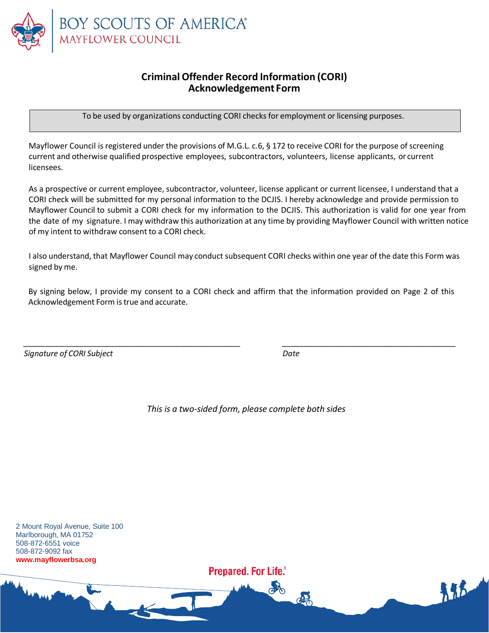

## **CriminalOffender Record Information (CORI) Acknowledgement Form**

To be used by organizations conducting CORI checks for employment or licensing purposes.

Mayflower Council is registered under the provisions of M.G.L. c.6, § 172 to receive CORI for the purpose of screening current and otherwise qualified prospective employees, subcontractors, volunteers, license applicants, or current licensees.

As a prospective or current employee, subcontractor, volunteer, license applicant or current licensee, I understand that a CORI check will be submitted for my personal information to the DCJIS. I hereby acknowledge and provide permission to Mayflower Council to submit a CORI check for my information to the DCJIS. This authorization is valid for one year from the date of my signature. I may withdraw this authorization at any time by providing Mayflower Council with written notice of my intent to withdraw consent to a CORI check.

I also understand, that Mayflower Council may conduct subsequent CORI checks within one year of the date this Form was signed by me.

By signing below, I provide my consent to a CORI check and affirm that the information provided on Page 2 of this Acknowledgement Form is true and accurate.

*\_\_\_\_\_\_\_\_\_\_\_\_\_\_\_\_\_\_\_\_\_\_\_\_\_\_\_\_\_\_\_\_\_\_\_\_\_\_\_\_\_\_\_\_\_\_\_\_\_\_ \_\_\_\_\_\_\_\_\_\_\_\_\_\_\_\_\_\_\_\_\_\_\_\_\_\_\_\_\_\_\_\_\_\_\_\_\_\_\_\_*

*Signature of CORI Subject Date*

*This is a two-sided form, please complete both sides*

2 Mount Royal Avenue, Suite 100 Marlborough, MA 01752 508-872-6551 voice 508-872-9092 fax **www.mayflowerbsa.org**

**Prepared. For Life.**<sup>®</sup>

COO

185